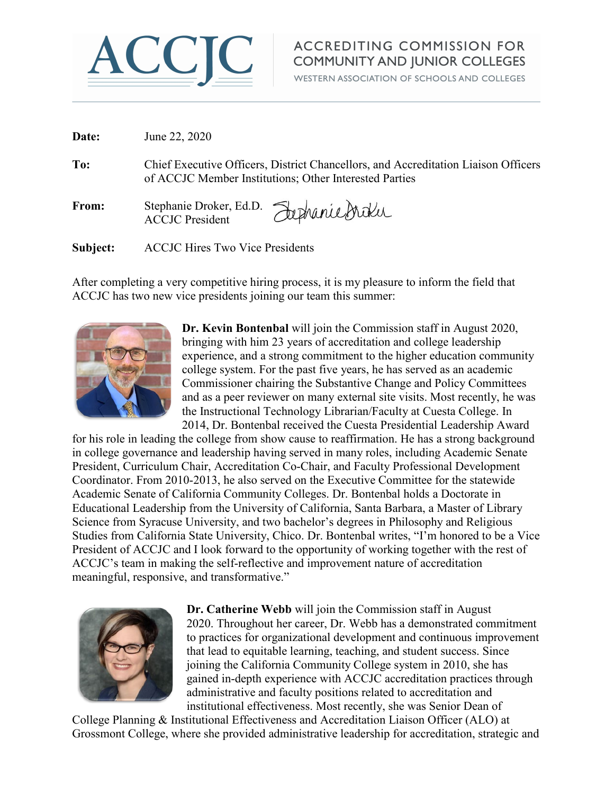

## **ACCREDITING COMMISSION FOR COMMUNITY AND JUNIOR COLLEGES**

WESTERN ASSOCIATION OF SCHOOLS AND COLLEGES

| Date:    | June 22, 2020                                                                                                                                |
|----------|----------------------------------------------------------------------------------------------------------------------------------------------|
| To:      | Chief Executive Officers, District Chancellors, and Accreditation Liaison Officers<br>of ACCJC Member Institutions; Other Interested Parties |
| From:    | Stephanie Droker, Ed.D. Jephanie Droku                                                                                                       |
| Subject: | <b>ACCJC Hires Two Vice Presidents</b>                                                                                                       |

After completing a very competitive hiring process, it is my pleasure to inform the field that ACCJC has two new vice presidents joining our team this summer:



**Dr. Kevin Bontenbal** will join the Commission staff in August 2020, bringing with him 23 years of accreditation and college leadership experience, and a strong commitment to the higher education community college system. For the past five years, he has served as an academic Commissioner chairing the Substantive Change and Policy Committees and as a peer reviewer on many external site visits. Most recently, he was the Instructional Technology Librarian/Faculty at Cuesta College. In 2014, Dr. Bontenbal received the Cuesta Presidential Leadership Award

for his role in leading the college from show cause to reaffirmation. He has a strong background in college governance and leadership having served in many roles, including Academic Senate President, Curriculum Chair, Accreditation Co-Chair, and Faculty Professional Development Coordinator. From 2010-2013, he also served on the Executive Committee for the statewide Academic Senate of California Community Colleges. Dr. Bontenbal holds a Doctorate in Educational Leadership from the University of California, Santa Barbara, a Master of Library Science from Syracuse University, and two bachelor's degrees in Philosophy and Religious Studies from California State University, Chico. Dr. Bontenbal writes, "I'm honored to be a Vice President of ACCJC and I look forward to the opportunity of working together with the rest of ACCJC's team in making the self-reflective and improvement nature of accreditation meaningful, responsive, and transformative."



**Dr. Catherine Webb** will join the Commission staff in August 2020. Throughout her career, Dr. Webb has a demonstrated commitment to practices for organizational development and continuous improvement that lead to equitable learning, teaching, and student success. Since joining the California Community College system in 2010, she has gained in-depth experience with ACCJC accreditation practices through administrative and faculty positions related to accreditation and institutional effectiveness. Most recently, she was Senior Dean of

College Planning & Institutional Effectiveness and Accreditation Liaison Officer (ALO) at Grossmont College, where she provided administrative leadership for accreditation, strategic and